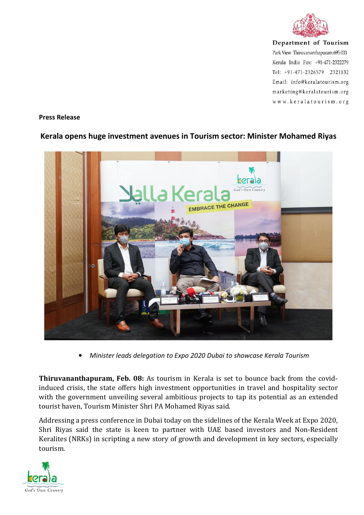

Department of Tourism Park View Thiruvananthapuram 695 033 Kerala India Fax: +91-471-2322279 Tel: +91-471-2326579 2321132 Email: info@keralatourism.org marketing@keralatourism.org www.keralatourism.org

## **Press Release**

## **Kerala opens huge investment avenues in Tourism sector: Minister Mohamed Riyas**



*Minister leads delegation to Expo 2020 Dubai to showcase Kerala Tourism*

**Thiruvananthapuram, Feb. 08:** As tourism in Kerala is set to bounce back from the covidinduced crisis, the state offers high investment opportunities in travel and hospitality sector with the government unveiling several ambitious projects to tap its potential as an extended tourist haven, Tourism Minister Shri PA Mohamed Riyas said.

Addressing a press conference in Dubai today on the sidelines of the Kerala Week at Expo 2020, Shri Riyas said the state is keen to partner with UAE based investors and Non-Resident Keralites (NRKs) in scripting a new story of growth and development in key sectors, especially tourism.

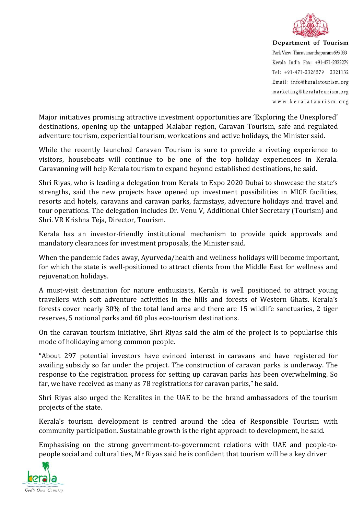

Department of Tourism Park View Thiruvananthapuram 695 033 Kerala India Fax: +91-471-2322279 Tel: +91-471-2326579 2321132 Email: info@keralatourism.org marketing@keralatourism.org www.keralatourism.org

Major initiatives promising attractive investment opportunities are 'Exploring the Unexplored' destinations, opening up the untapped Malabar region, Caravan Tourism, safe and regulated adventure tourism, experiential tourism, workcations and active holidays, the Minister said.

While the recently launched Caravan Tourism is sure to provide a riveting experience to visitors, houseboats will continue to be one of the top holiday experiences in Kerala. Caravanning will help Kerala tourism to expand beyond established destinations, he said.

Shri Riyas, who is leading a delegation from Kerala to Expo 2020 Dubai to showcase the state's strengths, said the new projects have opened up investment possibilities in MICE facilities, resorts and hotels, caravans and caravan parks, farmstays, adventure holidays and travel and tour operations. The delegation includes Dr. Venu V, Additional Chief Secretary (Tourism) and Shri. VR Krishna Teja, Director, Tourism.

Kerala has an investor-friendly institutional mechanism to provide quick approvals and mandatory clearances for investment proposals, the Minister said.

When the pandemic fades away, Ayurveda/health and wellness holidays will become important, for which the state is well-positioned to attract clients from the Middle East for wellness and rejuvenation holidays.

A must-visit destination for nature enthusiasts, Kerala is well positioned to attract young travellers with soft adventure activities in the hills and forests of Western Ghats. Kerala's forests cover nearly 30% of the total land area and there are 15 wildlife sanctuaries, 2 tiger reserves, 5 national parks and 60 plus eco-tourism destinations.

On the caravan tourism initiative, Shri Riyas said the aim of the project is to popularise this mode of holidaying among common people.

"About 297 potential investors have evinced interest in caravans and have registered for availing subsidy so far under the project. The construction of caravan parks is underway. The response to the registration process for setting up caravan parks has been overwhelming. So far, we have received as many as 78 registrations for caravan parks," he said.

Shri Riyas also urged the Keralites in the UAE to be the brand ambassadors of the tourism projects of the state.

Kerala's tourism development is centred around the idea of Responsible Tourism with community participation. Sustainable growth is the right approach to development, he said.

Emphasising on the strong government-to-government relations with UAE and people-to people social and cultural ties, Mr Riyas said he is confident that tourism will be a key driver